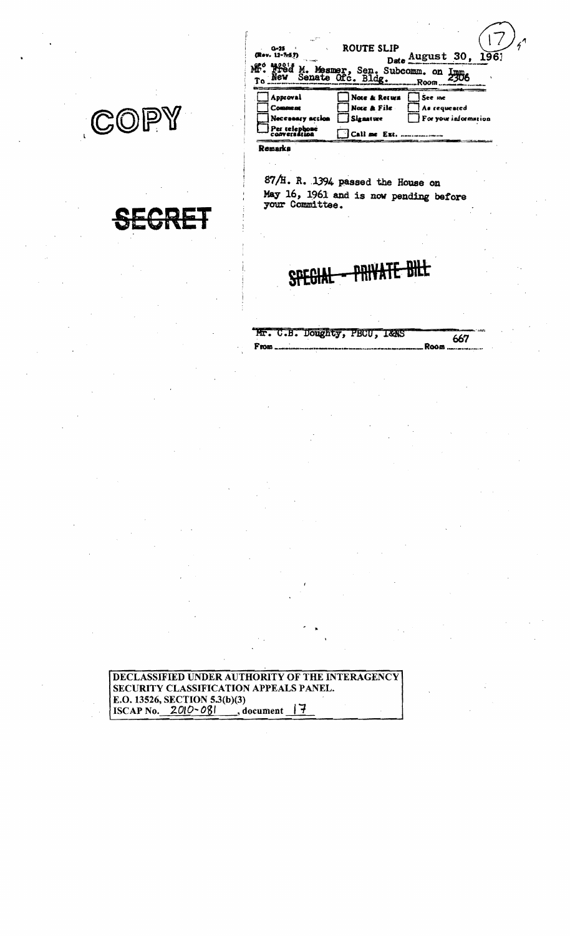COPY

| $\sim 10^{10}$                                                             | ROUTE SLIP                                                                                                  |
|----------------------------------------------------------------------------|-------------------------------------------------------------------------------------------------------------|
| $0 - 25$                                                                   | Date August 30.                                                                                             |
| (Rev. 12-7:57)                                                             | 196)                                                                                                        |
| Mesmer.                                                                    | Sen. Subcomm. on                                                                                            |
| <b>Nev</b>                                                                 | Senate Ofc. Bldg.                                                                                           |
| Tо                                                                         | Room                                                                                                        |
| Approval<br><b>Comment</b><br>Necessary action<br>Per telephone<br>Remarks | Note & Return<br>See me<br>Note & File<br>As requested<br>For your information<br>Signature<br>Call me Ext. |

87/H. R. 1394 passed the House on May 16, 1961 and is now pending before your Committee.

|       | Mr. C.B. Doughty, PBCU, I&AS |  | 667 |
|-------|------------------------------|--|-----|
| r rom |                              |  |     |

DECLASSIFIED UNDER AUTHORITY OF THE INTERAGENCY SECURITY CLASSIFICATION APPEALS PANEL. E.O. 13526, SECTION 5.3(b)(3)<br>ISCAP No.  $2010 - 081$ , d , document  $\frac{7}{7}$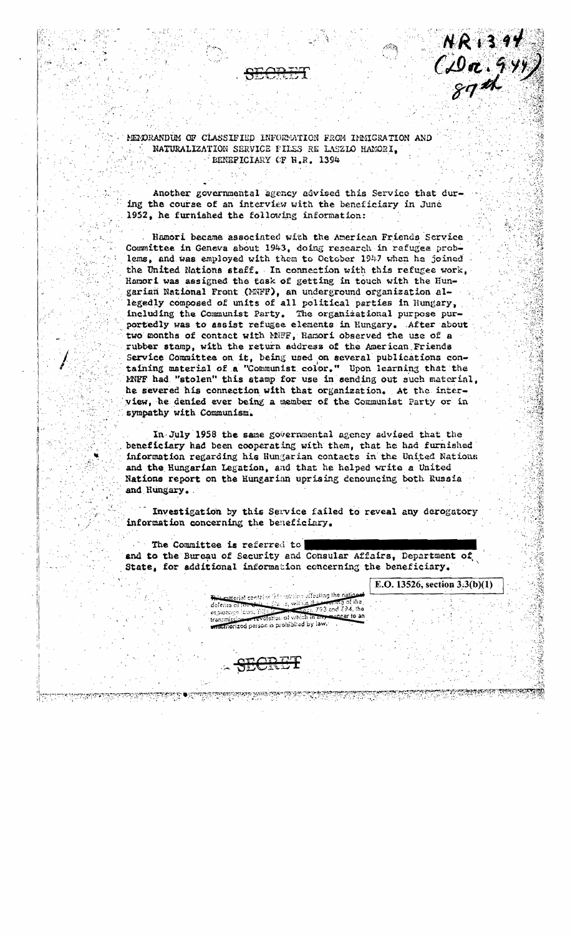### MENDRANDUM OF CLASSIFIED INFORMATION FROM IMMIGRATION AND NATURALIZATION SERVICE FILES RE LASZIO HAMORI. BENEFICIARY OF H.R. 1394

Another governmental agency advised this Service that during the course of an interview with the beneficiary in June 1952, he furnished the following information:

Hamori became associated with the American Friends Service Committee in Geneva about 1943, doing research in refugee problems, and was employed with them to October 1947 when he joined the United Nations staff. In connection with this refugee work, Hamori was assigned the task of getting in touch with the Hungarian National Front (MNFF), an underground organization allegedly composed of units of all political parties in Hungary, including the Communist Party. The organizational purpose purportedly was to assist refugee elements in Hungary. After about two months of contact with MWF, Ramori observed the use of a rubber stamp, with the return address of the American Friends Service Committee on it, being used on several publications containing material of a "Communist color." Upon learning that the MNFF had "stolen" this stamp for use in sending out such material, he severed his connection with that organization. At the interview, he denied ever being a member of the Communist Party or in sympathy with Communism.

In July 1958 the same governmental agency advised that the beneficiary had been cooperating with them, that he had furnished information regarding his Hungarian contacts in the United Nations and the Hungarian Legation, and that he helped write a United Nations report on the Hungarian uprising denouncing both Russia and Hungary.

Investigation by this Service failed to reveal any derogatory information concerning the beseficiary.

The Committee is referred to and to the Bureau of Security and Consular Affairs, Department of State, for additional information concerning the beneficiary.

E.O. 13526, section  $3:3(b)(1)$ 

 $R_{13.97}$ <br>( $Q_{\text{0}}$ , 944)<br>god

anocial contains information affecting the nation ع<u>لاءَ</u> نائعا ري. جن delensa el m  $1.793$  and  $794$ , the espionage laws, Til revolation of which it matthorized person is prohibited by law.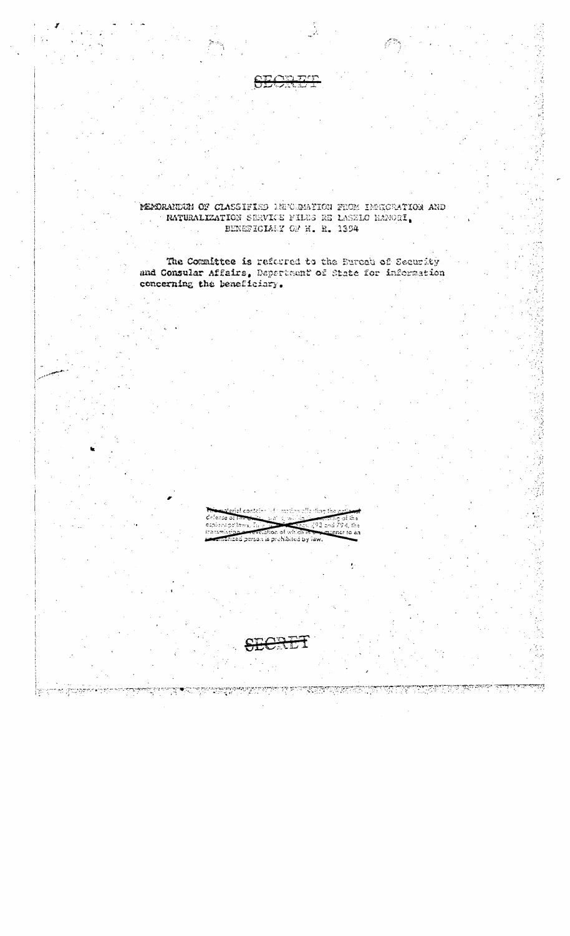

MEMORANDUM OF CLASSIFIED DEPORMATION FROM IMMIGRATION ARD RATURALIZATION SERVICE FILES RE LASZLO HAMORI. BENEFICIALY OF H. R. 1394

The Committee is referred to the Eurosh of Security and Consular Affairs, Depertment of State for information concerning the beneficiary.

> $793$  and  $794,$  the esplonage laws, itaasm alion of which zed person is prohibited by law.

> > প্ৰ সম্পৰ্কেশ্ব

्राष्ट्रीय

98

 $\sim 10^6$ 

rajayayi<br>T

samanang<br>Pilipina

TR.

<u>| sector et grandem</u>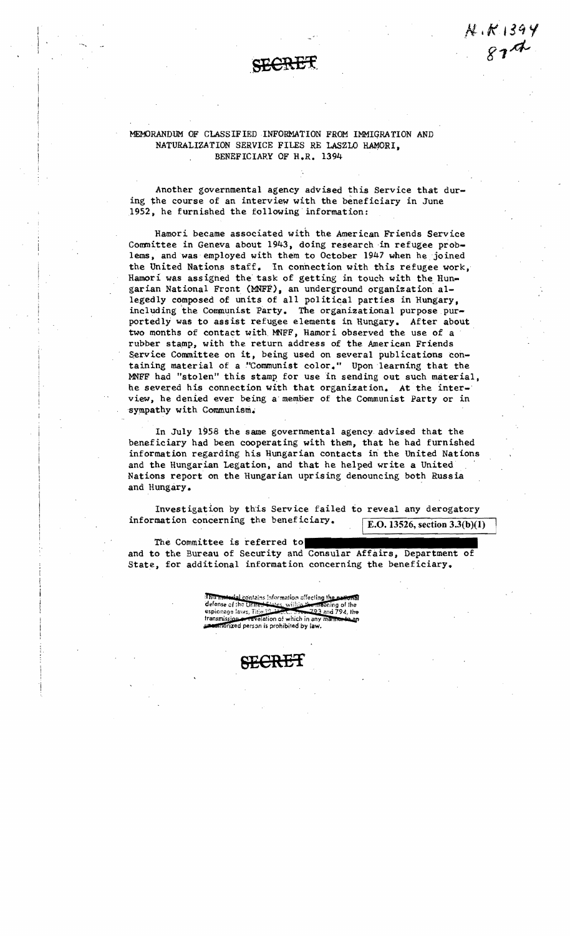$K. K. 1399$ <br> $874$ 

### MEMORANDUM OF CLASSIFIED INFORMATION FROM IMMIGRATION AND NATURALIZATION SERVICE FILES RE LASZLO HAMORI. BENEFICIARY OF H.R. 1394

Another governmental agency advised this Service that during the course of an interview with the beneficiary in June 1952, he furnished the following information:

Hamori became associated with the American Friends Service Committee in Geneva about 1943, doing research in refugee problems, and was employed with them to October 1947 when he joined the United Nations staff. In connection with this refugee work, Hamori was assigned the task of getting in touch with the Hungarian National Front (MNFF), an underground organization' allegedly composed of units of all political parties in Hungary, including the Communist Party. The organizational purpose purportedly was to assist refugee elements in Rungary. After about two months of contact with, MNFF, Hamori observed the use of a rubber stamp, with the return address of the American Friends Service Committee on it, being used on several publications containing material of a "Communist color." Upon learning that the MNFF had "stolen" this stamp for use in sending out such material, he severed his connection with that organization. At the interview, he denied ever being a'member of the Communist Party or in sympathy with communism.

In July 1958 the same governmental agency advised that the beneficiary had been cooperating with them, that he had furnished information regarding his Hungarian contacts in the United Nations and the Hungarian Legation, and that he helped write a United Nations report on the Hungarian uprising denouncing both Russia and Hungary.

Investigation by this Service failed to reveal any derogatory information concerning the beneficiary.  $\sqrt{\text{E.O. 13526, section 3.3(b)(1)}}$ 

The Committee is referred to

and to the Bureau of Security and Consular Affairs, Department of State, for additional information concerning the beneficiary.

> तारित स tial contains information offecting the pational defense of the United States, within the meaning of the espionage laws, Title 19  $-793$  and  $794.$  the transmission or revelation of which in any manner unconfidenced person is prohibited by law.

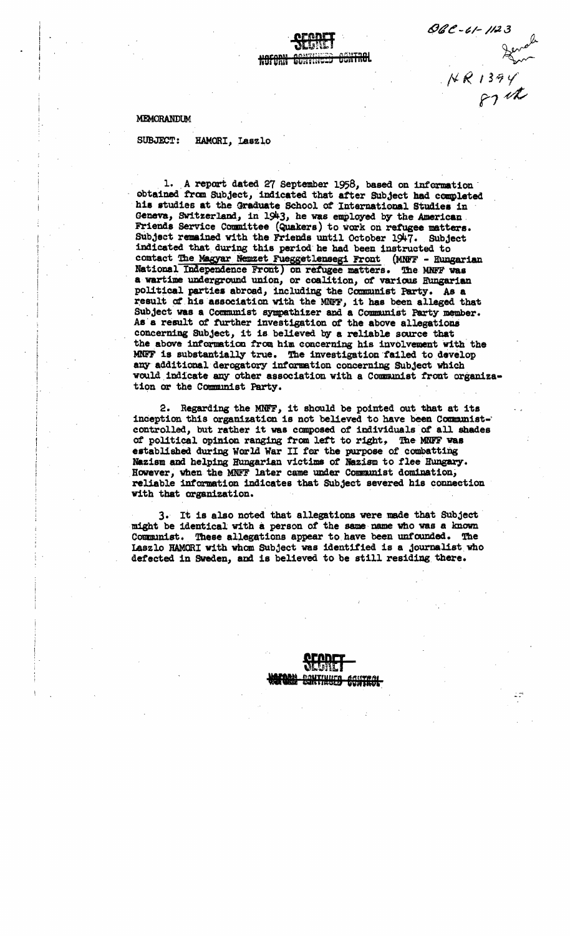MEMORANDUM

**SUBJECT:** HAMORI, Laszlo

1. A report dated 27 September 1958, based on information obtained from Subject, indicated that after Subject had completed his studies at the Graduate School of International Studies in Geneva, Switzerland, in 1943, he was employed by the American. Friends Service Committee (Quakers) to work on refugee matters. Subject remained with the Friends until October 1947. Subject indicated that during this period he had been instructed to contact The Magyar Nemzet Fueggetlensegi Front (MNFF - Hungarian National Independence Front) on refugee matters. The MNFF was a wartime underground union, or coalition, of various Hungarian political parties abroad, including the Communist Party. As a result of his association with the MNFF, it has been alleged that Subject was a Communist sympathizer and a Communist Party member. As a result of further investigation of the above allegations concerning Subject, it is believed by a reliable source that the above information from him concerning his involvement with the MNFF is substantially true. The investigation failed to develop any additional derogatory information concerning Subject which would indicate any other association with a Communist front organization or the Communist Party.

OGC - 61 - 1123

 $481394$ 

2. Regarding the MNFF, it should be pointed out that at its inception this organization is not believed to have been Communistcontrolled, but rather it was composed of individuals of all shades of political opinion ranging from left to right, The MNFF was established during World War II for the purpose of combatting Nazism and helping Hungarian victims of Nazism to flee Hungary. However, when the MNFF later came under Communist domination, reliable information indicates that Subject severed his connection with that organization.

3. It is also noted that allegations were made that Subject might be identical with a person of the same name who was a known Communist. These allegations appear to have been unfounded. The Laszlo HAMORI with whom Subject was identified is a journalist who defected in Sweden, and is believed to be still residing there.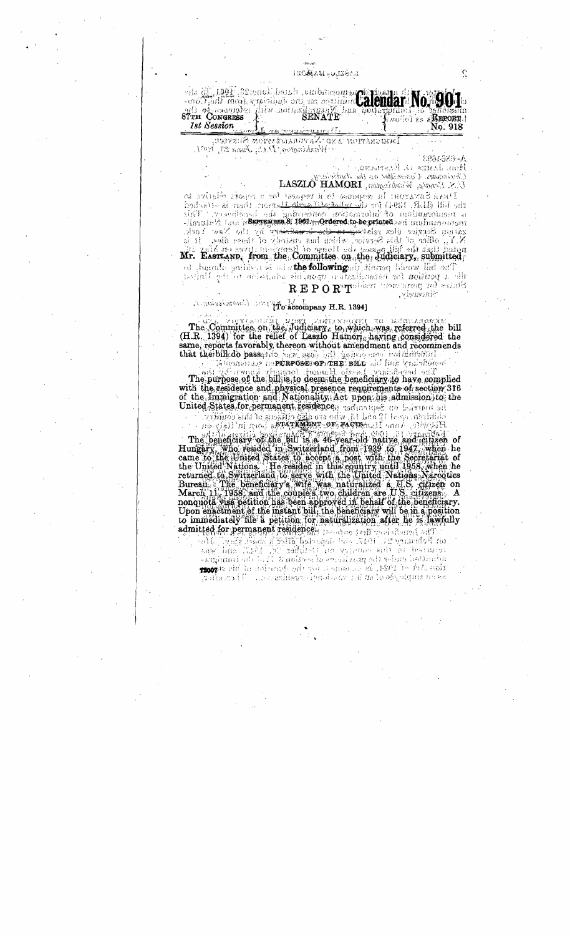ТОСАДА И <del>п</del>о дзеля

els of 1992 22 percent deast authorographed State de Mondo ale molled es aREPORT! **1st Session** No. 918 <u>aa janaa kina</u>

Immoration :b.v.o. :Naputanisanon-Susveup,  $\gamma$ Washington y $D$ Ci; June 22, 1997.

1004888-A A growment in these and

 $Q\bar{h}$ uismidos. Ciparresiden on the Audivisen

 $U \times S$  Senath, Windowski graph  $\partial \text{MSEAL}$ 

Deal Savarou la gesonast la d'usesse far a remate ringuiva de the bill (H.R. 1841) for the collected in the nord than is attached siff' reachiloned an paintenan ackiential in beneficient a Hengle 14 Late in SEPTEMBER 8: 1961 ... Ordered to be printed and intuitions and All pairs and processes the second processes of the property of the New York.<br>N.Y., office of this Service, which has custody of those files. It is<br>noted that the hill passed the Honse of Representatives on May it?

ad Amerika and describe the following of clience theory lied and the a perform for bather discrepend in admission of the United REPORT Gest Homological salars

Sincoreiv,

# A movement of the company H.R. 1394]

The Committee on the Judiciary, to which was referred the bill<br>(H.R. 1394) for the relief of Laszlo Hamori, having considered the same, reports favorably thereon without amendment and recommends that the bill do passento bar seab ball panerborous not latinging

Standress de**nonvose or une sitt** all bar quiridend The purpose of the billis to deem the beneficiary to have complied with the residence and physical presence requirements of section 316 of the Immigration and Nationality Act upon his admission to the

Le married States for being and treatence and some one state. being the countries of the countries of the country on

The beneficially of the bill is a 46-year-old native and children of<br>Humany, who resided in Switzerland from 1939 (6, 1947, when he rungary, much essayed in the couple is boost with the Secretariat of<br>the United Nations. He resided in this country until 1958, when he<br>returned to Switzerland to serve with the United Nations. Narcotics<br>Bureau: The benefi nonquota visa petition has been approved in behalf of the beneficiary.<br>Upon enactment of the instant bill, the beneficiary will be in a position to immediately file a petition for naturalization after he is lawfully admitted for permanent residence. In other seniores themes adj

 $\alpha$ d Fodinary 21. 1947. 21. bogandol filipinský končin $\mathbb{R}$ ymin $\mathbb{R}$ centricon to this compress on the best if the stand was tion the adjoint of the solution is the description of his stops ษะ กิน อยุทปราการ (เพราะกินเตรียม เรื่องเจ้า เรือง ปราการ ณีการ เป็นการ ณีการ